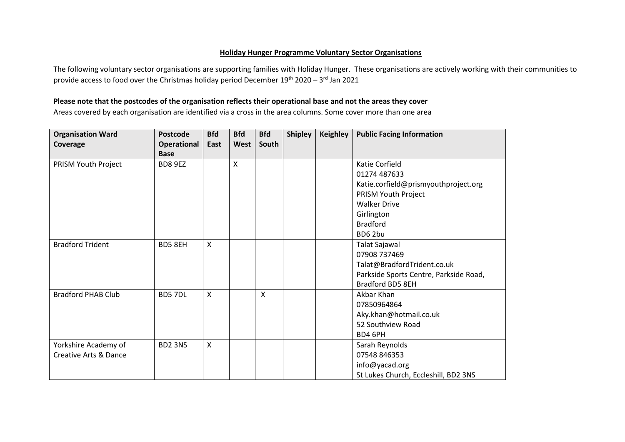## **Holiday Hunger Programme Voluntary Sector Organisations**

The following voluntary sector organisations are supporting families with Holiday Hunger. These organisations are actively working with their communities to provide access to food over the Christmas holiday period December  $19^{\text{th}}$  2020 – 3 $^{\text{rd}}$  Jan 2021

## **Please note that the postcodes of the organisation reflects their operational base and not the areas they cover**

Areas covered by each organisation are identified via a cross in the area columns. Some cover more than one area

| <b>Organisation Ward</b>         | Postcode                        | <b>Bfd</b>   | <b>Bfd</b> | <b>Bfd</b> | <b>Shipley</b> | <b>Keighley</b> | <b>Public Facing Information</b>       |
|----------------------------------|---------------------------------|--------------|------------|------------|----------------|-----------------|----------------------------------------|
| Coverage                         | Operational                     | East         | West       | South      |                |                 |                                        |
|                                  | <b>Base</b>                     |              |            |            |                |                 |                                        |
| PRISM Youth Project              | BD8 9EZ                         |              | X          |            |                |                 | Katie Corfield                         |
|                                  |                                 |              |            |            |                |                 | 01274 487633                           |
|                                  |                                 |              |            |            |                |                 | Katie.corfield@prismyouthproject.org   |
|                                  |                                 |              |            |            |                |                 | PRISM Youth Project                    |
|                                  |                                 |              |            |            |                |                 | <b>Walker Drive</b>                    |
|                                  |                                 |              |            |            |                |                 | Girlington                             |
|                                  |                                 |              |            |            |                |                 | <b>Bradford</b>                        |
|                                  |                                 |              |            |            |                |                 | BD62bu                                 |
| <b>Bradford Trident</b>          | BD5 8EH                         | X            |            |            |                |                 | Talat Sajawal                          |
|                                  |                                 |              |            |            |                |                 | 07908 737469                           |
|                                  |                                 |              |            |            |                |                 | Talat@BradfordTrident.co.uk            |
|                                  |                                 |              |            |            |                |                 | Parkside Sports Centre, Parkside Road, |
|                                  |                                 |              |            |            |                |                 | Bradford BD5 8EH                       |
| <b>Bradford PHAB Club</b>        | BD57DL                          | X            |            | X          |                |                 | Akbar Khan                             |
|                                  |                                 |              |            |            |                |                 | 07850964864                            |
|                                  |                                 |              |            |            |                |                 | Aky.khan@hotmail.co.uk                 |
|                                  |                                 |              |            |            |                |                 | 52 Southview Road                      |
|                                  |                                 |              |            |            |                |                 | BD4 6PH                                |
| Yorkshire Academy of             | BD <sub>2</sub> 3N <sub>S</sub> | $\mathsf{x}$ |            |            |                |                 | Sarah Reynolds                         |
| <b>Creative Arts &amp; Dance</b> |                                 |              |            |            |                |                 | 07548 846353                           |
|                                  |                                 |              |            |            |                |                 | info@yacad.org                         |
|                                  |                                 |              |            |            |                |                 | St Lukes Church, Eccleshill, BD2 3NS   |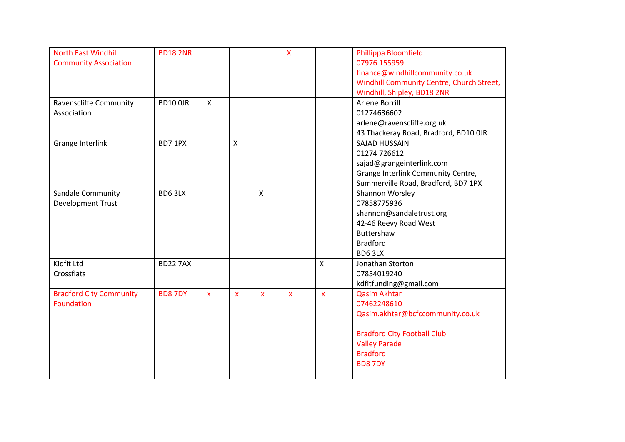| <b>North East Windhill</b>     | <b>BD182NR</b>  |              |                           |                         | X                  |              | Phillippa Bloomfield                      |
|--------------------------------|-----------------|--------------|---------------------------|-------------------------|--------------------|--------------|-------------------------------------------|
| <b>Community Association</b>   |                 |              |                           |                         |                    |              | 07976 155959                              |
|                                |                 |              |                           |                         |                    |              | finance@windhillcommunity.co.uk           |
|                                |                 |              |                           |                         |                    |              | Windhill Community Centre, Church Street, |
|                                |                 |              |                           |                         |                    |              | Windhill, Shipley, BD18 2NR               |
| Ravenscliffe Community         | <b>BD10 0JR</b> | $\mathsf{x}$ |                           |                         |                    |              | Arlene Borrill                            |
| Association                    |                 |              |                           |                         |                    |              | 01274636602                               |
|                                |                 |              |                           |                         |                    |              | arlene@ravenscliffe.org.uk                |
|                                |                 |              |                           |                         |                    |              | 43 Thackeray Road, Bradford, BD10 OJR     |
| Grange Interlink               | BD7 1PX         |              | $\boldsymbol{\mathsf{X}}$ |                         |                    |              | <b>SAJAD HUSSAIN</b>                      |
|                                |                 |              |                           |                         |                    |              | 01274 726612                              |
|                                |                 |              |                           |                         |                    |              | sajad@grangeinterlink.com                 |
|                                |                 |              |                           |                         |                    |              | Grange Interlink Community Centre,        |
|                                |                 |              |                           |                         |                    |              | Summerville Road, Bradford, BD7 1PX       |
| Sandale Community              | BD63LX          |              |                           | $\mathsf{\overline{X}}$ |                    |              | Shannon Worsley                           |
| Development Trust              |                 |              |                           |                         |                    |              | 07858775936                               |
|                                |                 |              |                           |                         |                    |              | shannon@sandaletrust.org                  |
|                                |                 |              |                           |                         |                    |              | 42-46 Reevy Road West                     |
|                                |                 |              |                           |                         |                    |              | <b>Buttershaw</b>                         |
|                                |                 |              |                           |                         |                    |              | <b>Bradford</b>                           |
|                                |                 |              |                           |                         |                    |              | BD63LX                                    |
| Kidfit Ltd                     | <b>BD22 7AX</b> |              |                           |                         |                    | $\mathsf{X}$ | Jonathan Storton                          |
| Crossflats                     |                 |              |                           |                         |                    |              | 07854019240                               |
|                                |                 |              |                           |                         |                    |              | kdfitfunding@gmail.com                    |
| <b>Bradford City Community</b> | <b>BD87DY</b>   | X            | $\mathsf{x}$              | $\mathbf{x}$            | $\bar{\mathbf{x}}$ | $\mathbf{x}$ | <b>Qasim Akhtar</b>                       |
| <b>Foundation</b>              |                 |              |                           |                         |                    |              | 07462248610                               |
|                                |                 |              |                           |                         |                    |              | Qasim.akhtar@bcfccommunity.co.uk          |
|                                |                 |              |                           |                         |                    |              | <b>Bradford City Football Club</b>        |
|                                |                 |              |                           |                         |                    |              | <b>Valley Parade</b>                      |
|                                |                 |              |                           |                         |                    |              | <b>Bradford</b>                           |
|                                |                 |              |                           |                         |                    |              | <b>BD87DY</b>                             |
|                                |                 |              |                           |                         |                    |              |                                           |
|                                |                 |              |                           |                         |                    |              |                                           |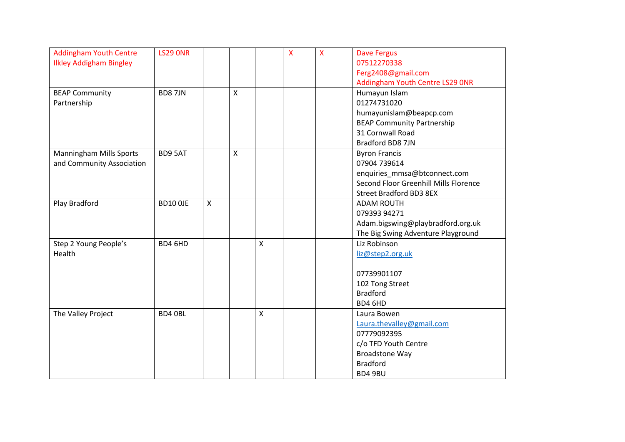| <b>Addingham Youth Centre</b>  | <b>LS29 ONR</b> |   |                    |                           | $\overline{\mathsf{x}}$ | $\overline{\mathsf{X}}$ | <b>Dave Fergus</b>                    |
|--------------------------------|-----------------|---|--------------------|---------------------------|-------------------------|-------------------------|---------------------------------------|
| <b>Ilkley Addigham Bingley</b> |                 |   |                    |                           |                         |                         | 07512270338                           |
|                                |                 |   |                    |                           |                         |                         | Ferg2408@gmail.com                    |
|                                |                 |   |                    |                           |                         |                         | Addingham Youth Centre LS29 ONR       |
| <b>BEAP Community</b>          | <b>BD87JN</b>   |   | X                  |                           |                         |                         | Humayun Islam                         |
| Partnership                    |                 |   |                    |                           |                         |                         | 01274731020                           |
|                                |                 |   |                    |                           |                         |                         | humayunislam@beapcp.com               |
|                                |                 |   |                    |                           |                         |                         | <b>BEAP Community Partnership</b>     |
|                                |                 |   |                    |                           |                         |                         | 31 Cornwall Road                      |
|                                |                 |   |                    |                           |                         |                         | Bradford BD8 7JN                      |
| <b>Manningham Mills Sports</b> | BD9 5AT         |   | $\pmb{\mathsf{X}}$ |                           |                         |                         | <b>Byron Francis</b>                  |
| and Community Association      |                 |   |                    |                           |                         |                         | 07904 739614                          |
|                                |                 |   |                    |                           |                         |                         | enquiries_mmsa@btconnect.com          |
|                                |                 |   |                    |                           |                         |                         | Second Floor Greenhill Mills Florence |
|                                |                 |   |                    |                           |                         |                         | <b>Street Bradford BD3 8EX</b>        |
| Play Bradford                  | <b>BD10 OJE</b> | X |                    |                           |                         |                         | <b>ADAM ROUTH</b>                     |
|                                |                 |   |                    |                           |                         |                         | 079393 94271                          |
|                                |                 |   |                    |                           |                         |                         | Adam.bigswing@playbradford.org.uk     |
|                                |                 |   |                    |                           |                         |                         | The Big Swing Adventure Playground    |
| Step 2 Young People's          | BD4 6HD         |   |                    | $\boldsymbol{\mathsf{X}}$ |                         |                         | Liz Robinson                          |
| Health                         |                 |   |                    |                           |                         |                         | liz@step2.org.uk                      |
|                                |                 |   |                    |                           |                         |                         |                                       |
|                                |                 |   |                    |                           |                         |                         | 07739901107                           |
|                                |                 |   |                    |                           |                         |                         | 102 Tong Street                       |
|                                |                 |   |                    |                           |                         |                         | <b>Bradford</b>                       |
|                                |                 |   |                    |                           |                         |                         | BD4 6HD                               |
| The Valley Project             | BD4 0BL         |   |                    | $\mathsf{X}$              |                         |                         | Laura Bowen                           |
|                                |                 |   |                    |                           |                         |                         | Laura.thevalley@gmail.com             |
|                                |                 |   |                    |                           |                         |                         | 07779092395                           |
|                                |                 |   |                    |                           |                         |                         | c/o TFD Youth Centre                  |
|                                |                 |   |                    |                           |                         |                         | <b>Broadstone Way</b>                 |
|                                |                 |   |                    |                           |                         |                         | <b>Bradford</b>                       |
|                                |                 |   |                    |                           |                         |                         | BD4 9BU                               |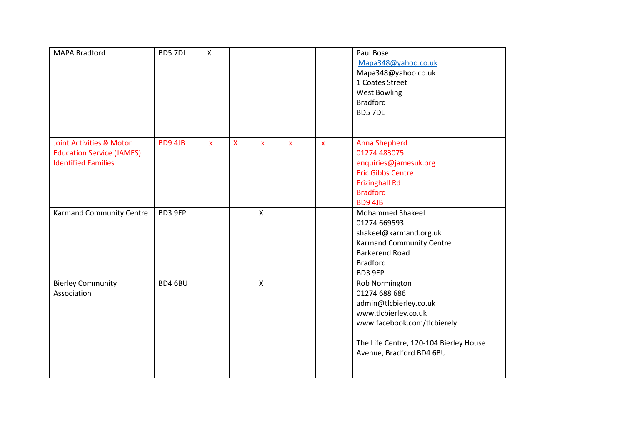| MAPA Bradford                                                                              | BD57DL  | X                  |              |                    |              |                    | Paul Bose<br>Mapa348@yahoo.co.uk<br>Mapa348@yahoo.co.uk<br>1 Coates Street<br><b>West Bowling</b><br><b>Bradford</b><br>BD57DL                                                         |
|--------------------------------------------------------------------------------------------|---------|--------------------|--------------|--------------------|--------------|--------------------|----------------------------------------------------------------------------------------------------------------------------------------------------------------------------------------|
| Joint Activities & Motor<br><b>Education Service (JAMES)</b><br><b>Identified Families</b> | BD9 4JB | $\pmb{\mathsf{x}}$ | $\mathsf{X}$ | $\pmb{\mathsf{X}}$ | $\mathbf{x}$ | $\pmb{\mathsf{x}}$ | <b>Anna Shepherd</b><br>01274 483075<br>enquiries@jamesuk.org<br><b>Eric Gibbs Centre</b><br><b>Frizinghall Rd</b><br><b>Bradford</b><br>BD9 4JB                                       |
| <b>Karmand Community Centre</b>                                                            | BD3 9EP |                    |              | $\mathsf{x}$       |              |                    | <b>Mohammed Shakeel</b><br>01274 669593<br>shakeel@karmand.org.uk<br><b>Karmand Community Centre</b><br><b>Barkerend Road</b><br><b>Bradford</b><br>BD3 9EP                            |
| <b>Bierley Community</b><br>Association                                                    | BD4 6BU |                    |              | $\mathsf{x}$       |              |                    | Rob Normington<br>01274 688 686<br>admin@tlcbierley.co.uk<br>www.tlcbierley.co.uk<br>www.facebook.com/tlcbierely<br>The Life Centre, 120-104 Bierley House<br>Avenue, Bradford BD4 6BU |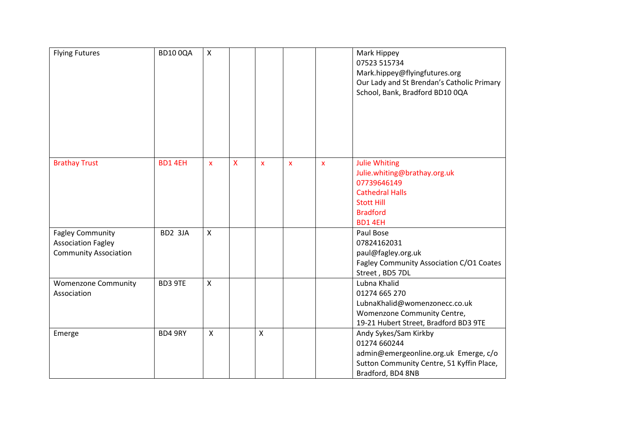| <b>Flying Futures</b>                                                                | <b>BD100QA</b> | $\mathsf{X}$              |   |                    |                           |              | Mark Hippey<br>07523 515734<br>Mark.hippey@flyingfutures.org<br>Our Lady and St Brendan's Catholic Primary<br>School, Bank, Bradford BD10 0QA    |
|--------------------------------------------------------------------------------------|----------------|---------------------------|---|--------------------|---------------------------|--------------|--------------------------------------------------------------------------------------------------------------------------------------------------|
| <b>Brathay Trust</b>                                                                 | BD14EH         | $\boldsymbol{\mathsf{x}}$ | X | $\mathbf{x}$       | $\boldsymbol{\mathsf{x}}$ | $\mathbf{x}$ | <b>Julie Whiting</b><br>Julie.whiting@brathay.org.uk<br>07739646149<br><b>Cathedral Halls</b><br><b>Stott Hill</b><br><b>Bradford</b><br>BD14EH  |
| <b>Fagley Community</b><br><b>Association Fagley</b><br><b>Community Association</b> | BD2 3JA        | $\mathsf{x}$              |   |                    |                           |              | Paul Bose<br>07824162031<br>paul@fagley.org.uk<br>Fagley Community Association C/O1 Coates<br>Street, BD5 7DL                                    |
| <b>Womenzone Community</b><br>Association                                            | BD3 9TE        | $\mathsf{X}$              |   |                    |                           |              | Lubna Khalid<br>01274 665 270<br>LubnaKhalid@womenzonecc.co.uk<br>Womenzone Community Centre,<br>19-21 Hubert Street, Bradford BD3 9TE           |
| Emerge                                                                               | BD4 9RY        | $\boldsymbol{\mathsf{X}}$ |   | $\pmb{\mathsf{X}}$ |                           |              | Andy Sykes/Sam Kirkby<br>01274 660244<br>admin@emergeonline.org.uk Emerge, c/o<br>Sutton Community Centre, 51 Kyffin Place,<br>Bradford, BD4 8NB |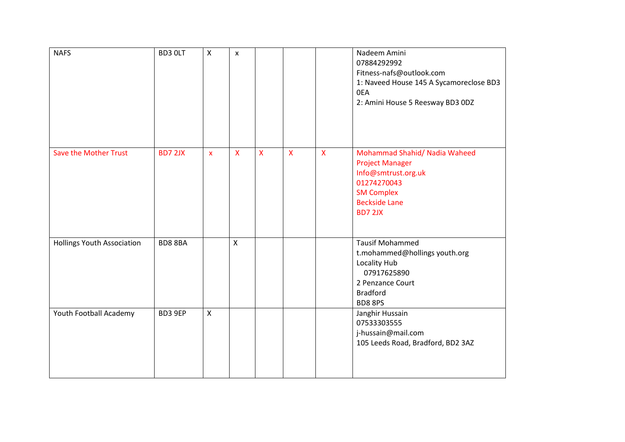| <b>NAFS</b>                       | BD3 OLT | X                         | $\pmb{\times}$ |              |              |              | Nadeem Amini<br>07884292992<br>Fitness-nafs@outlook.com<br>1: Naveed House 145 A Sycamoreclose BD3<br>0EA<br>2: Amini House 5 Reesway BD3 0DZ                |
|-----------------------------------|---------|---------------------------|----------------|--------------|--------------|--------------|--------------------------------------------------------------------------------------------------------------------------------------------------------------|
| <b>Save the Mother Trust</b>      | BD7 2JX | $\boldsymbol{\mathsf{X}}$ | $\mathsf{X}$   | $\mathsf{X}$ | $\mathsf{X}$ | $\mathsf{X}$ | Mohammad Shahid/ Nadia Waheed<br><b>Project Manager</b><br>Info@smtrust.org.uk<br>01274270043<br><b>SM Complex</b><br><b>Beckside Lane</b><br><b>BD7 2JX</b> |
| <b>Hollings Youth Association</b> | BD88BA  |                           | $\mathsf{x}$   |              |              |              | <b>Tausif Mohammed</b><br>t.mohammed@hollings youth.org<br>Locality Hub<br>07917625890<br>2 Penzance Court<br><b>Bradford</b><br>BD88PS                      |
| Youth Football Academy            | BD3 9EP | $\pmb{\times}$            |                |              |              |              | Janghir Hussain<br>07533303555<br>j-hussain@mail.com<br>105 Leeds Road, Bradford, BD2 3AZ                                                                    |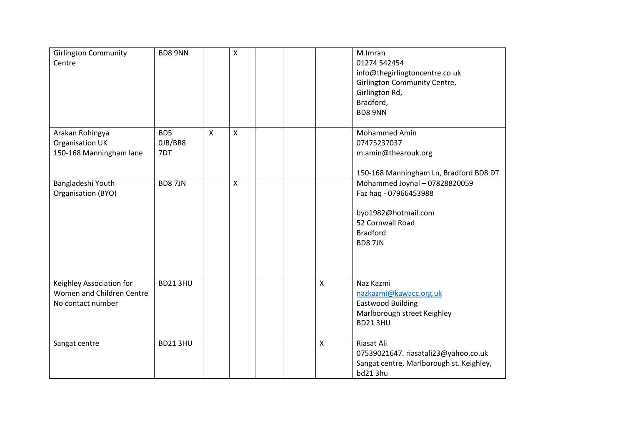| <b>Girlington Community</b><br>Centre                                      | BD8 9NN                           |              | $\mathsf{X}$              |  |                           | M.Imran<br>01274 542454<br>info@thegirlingtoncentre.co.uk<br><b>Girlington Community Centre,</b><br>Girlington Rd,<br>Bradford,<br><b>BD8 9NN</b> |
|----------------------------------------------------------------------------|-----------------------------------|--------------|---------------------------|--|---------------------------|---------------------------------------------------------------------------------------------------------------------------------------------------|
| Arakan Rohingya<br><b>Organisation UK</b><br>150-168 Manningham lane       | BD <sub>5</sub><br>OJB/BB8<br>7DT | $\mathsf{x}$ | $\boldsymbol{\mathsf{X}}$ |  |                           | <b>Mohammed Amin</b><br>07475237037<br>m.amin@thearouk.org<br>150-168 Manningham Ln, Bradford BD8 DT                                              |
| Bangladeshi Youth<br>Organisation (BYO)                                    | <b>BD87JN</b>                     |              | $\boldsymbol{\mathsf{X}}$ |  |                           | Mohammed Joynal - 07828820059<br>Faz haq - 07966453988<br>byo1982@hotmail.com<br>52 Cornwall Road<br><b>Bradford</b><br><b>BD87JN</b>             |
| Keighley Association for<br>Women and Children Centre<br>No contact number | <b>BD213HU</b>                    |              |                           |  | $\boldsymbol{\mathsf{X}}$ | Naz Kazmi<br>nazkazmi@kawacc.org.uk<br><b>Eastwood Building</b><br>Marlborough street Keighley<br><b>BD213HU</b>                                  |
| Sangat centre                                                              | <b>BD213HU</b>                    |              |                           |  | $\mathsf{X}$              | Riasat Ali<br>07539021647. riasatali23@yahoo.co.uk<br>Sangat centre, Marlborough st. Keighley,<br>bd213hu                                         |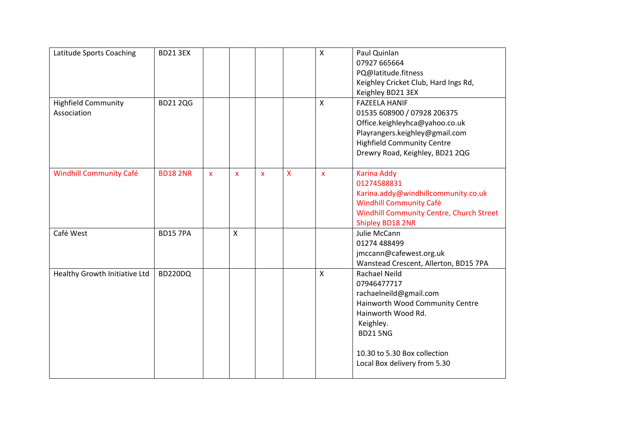| Latitude Sports Coaching<br><b>Highfield Community</b> | <b>BD21 3EX</b><br><b>BD212QG</b> |              |                           |              |   | $\mathsf{x}$<br>$\mathsf{x}$ | Paul Quinlan<br>07927 665664<br>PQ@latitude.fitness<br>Keighley Cricket Club, Hard Ings Rd,<br>Keighley BD21 3EX<br><b>FAZEELA HANIF</b>                                                                               |
|--------------------------------------------------------|-----------------------------------|--------------|---------------------------|--------------|---|------------------------------|------------------------------------------------------------------------------------------------------------------------------------------------------------------------------------------------------------------------|
| Association                                            |                                   |              |                           |              |   |                              | 01535 608900 / 07928 206375<br>Office.keighleyhca@yahoo.co.uk<br>Playrangers.keighley@gmail.com<br><b>Highfield Community Centre</b><br>Drewry Road, Keighley, BD21 2QG                                                |
| <b>Windhill Community Café</b>                         | <b>BD182NR</b>                    | $\mathbf{x}$ | $\mathbf{x}$              | $\mathbf{x}$ | X | $\mathbf{x}$                 | <b>Karina Addy</b><br>01274588831<br>Karina.addy@windhillcommunity.co.uk<br><b>Windhill Community Café</b><br><b>Windhill Community Centre, Church Street</b><br>Shipley BD18 2NR                                      |
| Café West                                              | <b>BD15 7PA</b>                   |              | $\boldsymbol{\mathsf{X}}$ |              |   |                              | Julie McCann<br>01274 488499<br>jmccann@cafewest.org.uk<br>Wanstead Crescent, Allerton, BD15 7PA                                                                                                                       |
| Healthy Growth Initiative Ltd                          | BD220DQ                           |              |                           |              |   | $\mathsf{x}$                 | <b>Rachael Neild</b><br>07946477717<br>rachaelneild@gmail.com<br>Hainworth Wood Community Centre<br>Hainworth Wood Rd.<br>Keighley.<br><b>BD21 5NG</b><br>10.30 to 5.30 Box collection<br>Local Box delivery from 5.30 |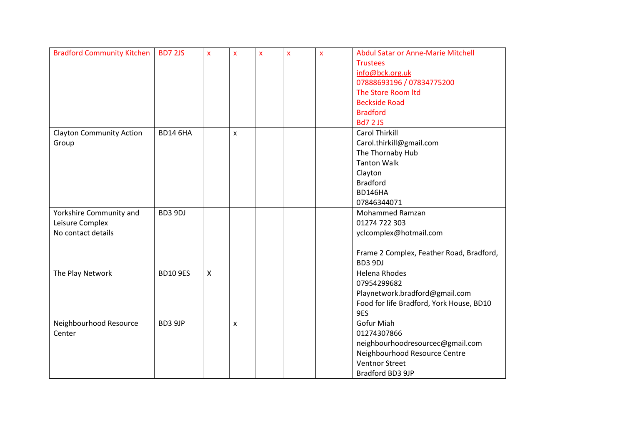| <b>Bradford Community Kitchen</b> | <b>BD7 2JS</b>  | $\pmb{\mathsf{x}}$ | $\overline{\mathbf{x}}$ | $\boldsymbol{\mathsf{x}}$ | $\mathbf{x}$ | X | <b>Abdul Satar or Anne-Marie Mitchell</b> |
|-----------------------------------|-----------------|--------------------|-------------------------|---------------------------|--------------|---|-------------------------------------------|
|                                   |                 |                    |                         |                           |              |   | <b>Trustees</b>                           |
|                                   |                 |                    |                         |                           |              |   | info@bck.org.uk                           |
|                                   |                 |                    |                         |                           |              |   | 07888693196 / 07834775200                 |
|                                   |                 |                    |                         |                           |              |   | The Store Room Itd                        |
|                                   |                 |                    |                         |                           |              |   | <b>Beckside Road</b>                      |
|                                   |                 |                    |                         |                           |              |   | <b>Bradford</b>                           |
|                                   |                 |                    |                         |                           |              |   | <b>Bd7 2 JS</b>                           |
| <b>Clayton Community Action</b>   | <b>BD14 6HA</b> |                    | $\mathsf{x}$            |                           |              |   | <b>Carol Thirkill</b>                     |
| Group                             |                 |                    |                         |                           |              |   | Carol.thirkill@gmail.com                  |
|                                   |                 |                    |                         |                           |              |   | The Thornaby Hub                          |
|                                   |                 |                    |                         |                           |              |   | <b>Tanton Walk</b>                        |
|                                   |                 |                    |                         |                           |              |   | Clayton                                   |
|                                   |                 |                    |                         |                           |              |   | <b>Bradford</b>                           |
|                                   |                 |                    |                         |                           |              |   | BD146HA                                   |
|                                   |                 |                    |                         |                           |              |   | 07846344071                               |
| Yorkshire Community and           | BD3 9DJ         |                    |                         |                           |              |   | <b>Mohammed Ramzan</b>                    |
| Leisure Complex                   |                 |                    |                         |                           |              |   | 01274 722 303                             |
| No contact details                |                 |                    |                         |                           |              |   | yclcomplex@hotmail.com                    |
|                                   |                 |                    |                         |                           |              |   |                                           |
|                                   |                 |                    |                         |                           |              |   | Frame 2 Complex, Feather Road, Bradford,  |
|                                   |                 |                    |                         |                           |              |   | BD3 9DJ                                   |
| The Play Network                  | <b>BD10 9ES</b> | $\mathsf X$        |                         |                           |              |   | <b>Helena Rhodes</b>                      |
|                                   |                 |                    |                         |                           |              |   | 07954299682                               |
|                                   |                 |                    |                         |                           |              |   | Playnetwork.bradford@gmail.com            |
|                                   |                 |                    |                         |                           |              |   | Food for life Bradford, York House, BD10  |
|                                   |                 |                    |                         |                           |              |   | 9ES                                       |
| Neighbourhood Resource            | BD3 9JP         |                    | X                       |                           |              |   | Gofur Miah                                |
| Center                            |                 |                    |                         |                           |              |   | 01274307866                               |
|                                   |                 |                    |                         |                           |              |   | neighbourhoodresourcec@gmail.com          |
|                                   |                 |                    |                         |                           |              |   | Neighbourhood Resource Centre             |
|                                   |                 |                    |                         |                           |              |   | <b>Ventnor Street</b>                     |
|                                   |                 |                    |                         |                           |              |   | Bradford BD3 9JP                          |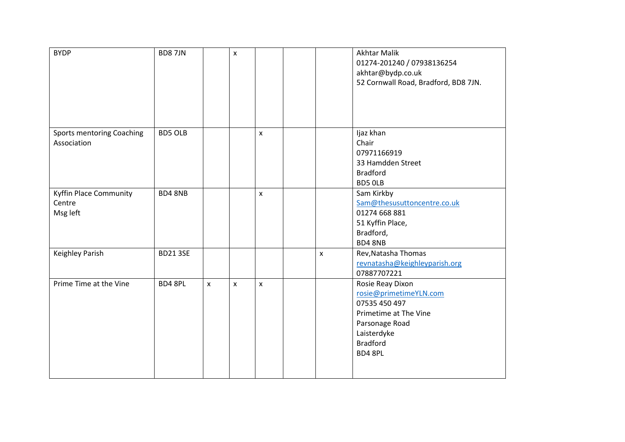| <b>BYDP</b>                                         | <b>BD87JN</b>  |                    | $\pmb{\times}$ |                    |              | <b>Akhtar Malik</b><br>01274-201240 / 07938136254<br>akhtar@bydp.co.uk<br>52 Cornwall Road, Bradford, BD8 7JN.                                     |
|-----------------------------------------------------|----------------|--------------------|----------------|--------------------|--------------|----------------------------------------------------------------------------------------------------------------------------------------------------|
| Sports mentoring Coaching<br>Association            | <b>BD5 OLB</b> |                    |                | $\pmb{\mathsf{X}}$ |              | Ijaz khan<br>Chair<br>07971166919<br>33 Hamdden Street<br><b>Bradford</b><br>BD5 OLB                                                               |
| <b>Kyffin Place Community</b><br>Centre<br>Msg left | <b>BD4 8NB</b> |                    |                | $\pmb{\chi}$       |              | Sam Kirkby<br>Sam@thesusuttoncentre.co.uk<br>01274 668 881<br>51 Kyffin Place,<br>Bradford,<br><b>BD4 8NB</b>                                      |
| Keighley Parish                                     | <b>BD213SE</b> |                    |                |                    | $\mathsf{x}$ | Rev, Natasha Thomas<br>revnatasha@keighleyparish.org<br>07887707221                                                                                |
| Prime Time at the Vine                              | BD4 8PL        | $\pmb{\mathsf{X}}$ | $\pmb{\times}$ | $\pmb{\mathsf{X}}$ |              | Rosie Reay Dixon<br>rosie@primetimeYLN.com<br>07535 450 497<br>Primetime at The Vine<br>Parsonage Road<br>Laisterdyke<br><b>Bradford</b><br>BD48PL |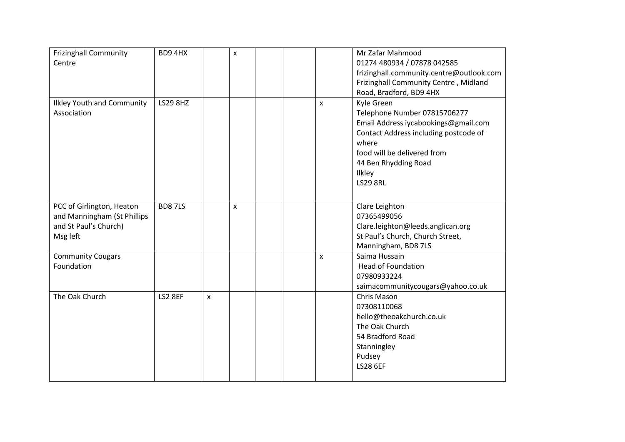| <b>Frizinghall Community</b>      | BD94HX          |   | $\pmb{\times}$ |  |              | Mr Zafar Mahmood                         |
|-----------------------------------|-----------------|---|----------------|--|--------------|------------------------------------------|
| Centre                            |                 |   |                |  |              | 01274 480934 / 07878 042585              |
|                                   |                 |   |                |  |              | frizinghall.community.centre@outlook.com |
|                                   |                 |   |                |  |              | Frizinghall Community Centre, Midland    |
|                                   |                 |   |                |  |              | Road, Bradford, BD9 4HX                  |
| <b>Ilkley Youth and Community</b> | <b>LS29 8HZ</b> |   |                |  | X            | Kyle Green                               |
| Association                       |                 |   |                |  |              | Telephone Number 07815706277             |
|                                   |                 |   |                |  |              | Email Address iycabookings@gmail.com     |
|                                   |                 |   |                |  |              | Contact Address including postcode of    |
|                                   |                 |   |                |  |              | where                                    |
|                                   |                 |   |                |  |              | food will be delivered from              |
|                                   |                 |   |                |  |              | 44 Ben Rhydding Road                     |
|                                   |                 |   |                |  |              | Ilkley                                   |
|                                   |                 |   |                |  |              | <b>LS29 8RL</b>                          |
|                                   |                 |   |                |  |              |                                          |
| PCC of Girlington, Heaton         | <b>BD87LS</b>   |   | X              |  |              | Clare Leighton                           |
| and Manningham (St Phillips       |                 |   |                |  |              | 07365499056                              |
| and St Paul's Church)             |                 |   |                |  |              | Clare.leighton@leeds.anglican.org        |
| Msg left                          |                 |   |                |  |              | St Paul's Church, Church Street,         |
|                                   |                 |   |                |  |              | Manningham, BD8 7LS                      |
| <b>Community Cougars</b>          |                 |   |                |  | $\mathsf{x}$ | Saima Hussain                            |
| Foundation                        |                 |   |                |  |              | <b>Head of Foundation</b>                |
|                                   |                 |   |                |  |              | 07980933224                              |
|                                   |                 |   |                |  |              | saimacommunitycougars@yahoo.co.uk        |
| The Oak Church                    | LS2 8EF         | X |                |  |              | Chris Mason                              |
|                                   |                 |   |                |  |              | 07308110068                              |
|                                   |                 |   |                |  |              | hello@theoakchurch.co.uk                 |
|                                   |                 |   |                |  |              | The Oak Church                           |
|                                   |                 |   |                |  |              | 54 Bradford Road                         |
|                                   |                 |   |                |  |              | Stanningley                              |
|                                   |                 |   |                |  |              | Pudsey                                   |
|                                   |                 |   |                |  |              | <b>LS28 6EF</b>                          |
|                                   |                 |   |                |  |              |                                          |